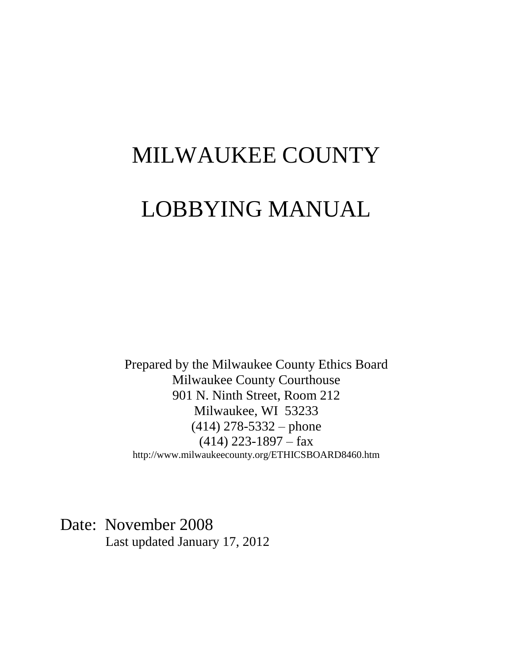# MILWAUKEE COUNTY

# LOBBYING MANUAL

Prepared by the Milwaukee County Ethics Board Milwaukee County Courthouse 901 N. Ninth Street, Room 212 Milwaukee, WI 53233 (414) 278-5332 – phone  $(414)$  223-1897 – fax http://www.milwaukeecounty.org/ETHICSBOARD8460.htm

Date: November 2008 Last updated January 17, 2012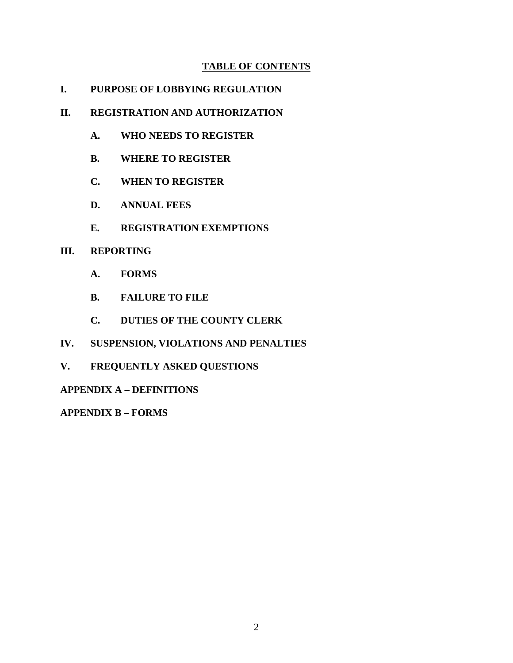### **TABLE OF CONTENTS**

**I. PURPOSE OF LOBBYING REGULATION** 

### **II. REGISTRATION AND AUTHORIZATION**

- **A. WHO NEEDS TO REGISTER**
- **B. WHERE TO REGISTER**
- **C. WHEN TO REGISTER**
- **D. ANNUAL FEES**
- **E. REGISTRATION EXEMPTIONS**

### **III. REPORTING**

- **A. FORMS**
- **B. FAILURE TO FILE**
- **C. DUTIES OF THE COUNTY CLERK**
- **IV. SUSPENSION, VIOLATIONS AND PENALTIES**
- **V. FREQUENTLY ASKED QUESTIONS**

### **APPENDIX A – DEFINITIONS**

**APPENDIX B – FORMS**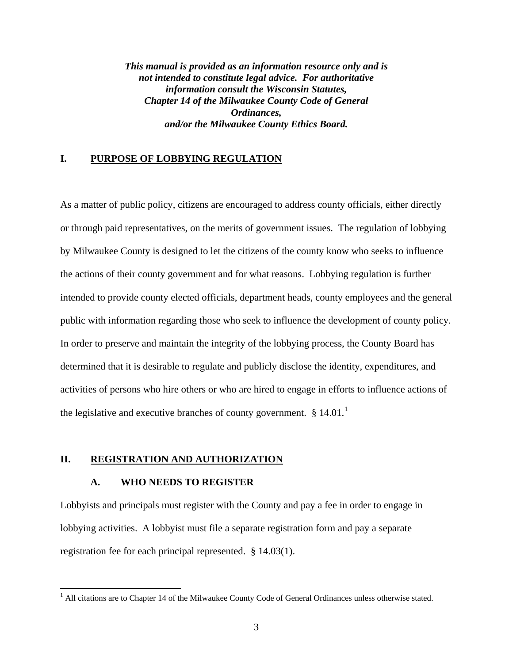*This manual is provided as an information resource only and is not intended to constitute legal advice. For authoritative information consult the Wisconsin Statutes, Chapter 14 of the Milwaukee County Code of General Ordinances, and/or the Milwaukee County Ethics Board.* 

### **I. PURPOSE OF LOBBYING REGULATION**

As a matter of public policy, citizens are encouraged to address county officials, either directly or through paid representatives, on the merits of government issues. The regulation of lobbying by Milwaukee County is designed to let the citizens of the county know who seeks to influence the actions of their county government and for what reasons. Lobbying regulation is further intended to provide county elected officials, department heads, county employees and the general public with information regarding those who seek to influence the development of county policy. In order to preserve and maintain the integrity of the lobbying process, the County Board has determined that it is desirable to regulate and publicly disclose the identity, expenditures, and activities of persons who hire others or who are hired to engage in efforts to influence actions of the legislative and executive branches of county government.  $\S 14.01$  $\S 14.01$  $\S 14.01$ .<sup>1</sup>

### **II. REGISTRATION AND AUTHORIZATION**

#### **A. WHO NEEDS TO REGISTER**

 $\overline{a}$ 

Lobbyists and principals must register with the County and pay a fee in order to engage in lobbying activities. A lobbyist must file a separate registration form and pay a separate registration fee for each principal represented. § 14.03(1).

<span id="page-2-0"></span><sup>&</sup>lt;sup>1</sup> All citations are to Chapter 14 of the Milwaukee County Code of General Ordinances unless otherwise stated.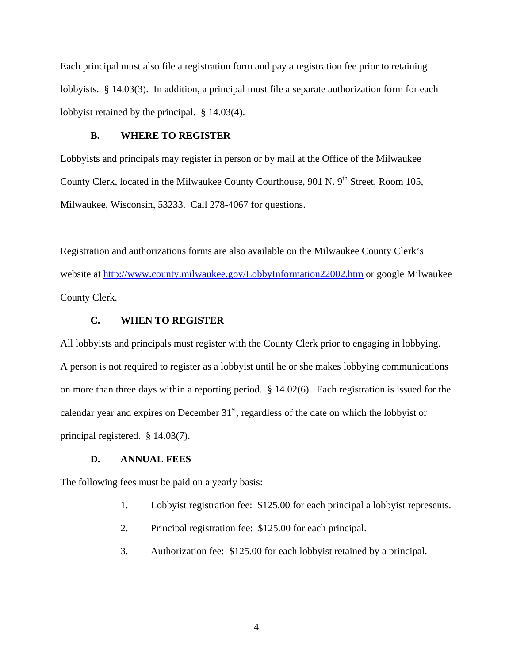Each principal must also file a registration form and pay a registration fee prior to retaining lobbyists. § 14.03(3). In addition, a principal must file a separate authorization form for each lobbyist retained by the principal. § 14.03(4).

#### **B. WHERE TO REGISTER**

Lobbyists and principals may register in person or by mail at the Office of the Milwaukee County Clerk, located in the Milwaukee County Courthouse, 901 N. 9<sup>th</sup> Street, Room 105, Milwaukee, Wisconsin, 53233. Call 278-4067 for questions.

Registration and authorizations forms are also available on the Milwaukee County Clerk's website at<http://www.county.milwaukee.gov/LobbyInformation22002.htm>or google Milwaukee County Clerk.

#### **C. WHEN TO REGISTER**

All lobbyists and principals must register with the County Clerk prior to engaging in lobbying. A person is not required to register as a lobbyist until he or she makes lobbying communications on more than three days within a reporting period. § 14.02(6). Each registration is issued for the calendar year and expires on December  $31<sup>st</sup>$ , regardless of the date on which the lobbyist or principal registered. § 14.03(7).

### **D. ANNUAL FEES**

The following fees must be paid on a yearly basis:

- 1. Lobbyist registration fee: \$125.00 for each principal a lobbyist represents.
- 2. Principal registration fee: \$125.00 for each principal.
- 3. Authorization fee: \$125.00 for each lobbyist retained by a principal.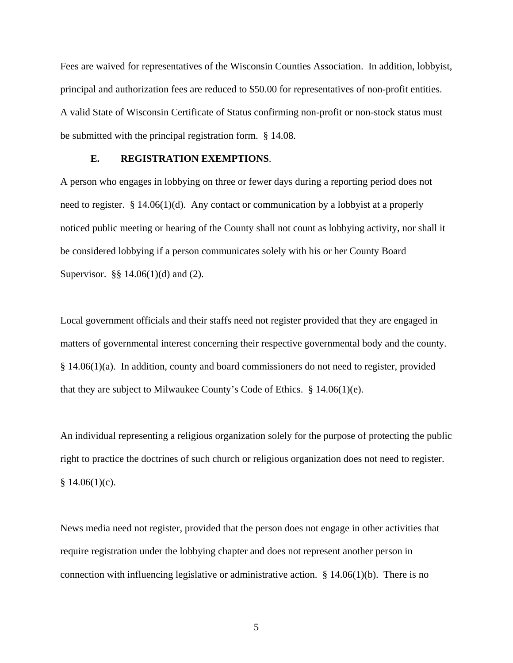Fees are waived for representatives of the Wisconsin Counties Association. In addition, lobbyist, principal and authorization fees are reduced to \$50.00 for representatives of non-profit entities. A valid State of Wisconsin Certificate of Status confirming non-profit or non-stock status must be submitted with the principal registration form. § 14.08.

### **E. REGISTRATION EXEMPTIONS**.

A person who engages in lobbying on three or fewer days during a reporting period does not need to register. § 14.06(1)(d). Any contact or communication by a lobbyist at a properly noticed public meeting or hearing of the County shall not count as lobbying activity, nor shall it be considered lobbying if a person communicates solely with his or her County Board Supervisor. §§ 14.06(1)(d) and (2).

Local government officials and their staffs need not register provided that they are engaged in matters of governmental interest concerning their respective governmental body and the county. § 14.06(1)(a). In addition, county and board commissioners do not need to register, provided that they are subject to Milwaukee County's Code of Ethics. § 14.06(1)(e).

An individual representing a religious organization solely for the purpose of protecting the public right to practice the doctrines of such church or religious organization does not need to register.  $§ 14.06(1)(c).$ 

News media need not register, provided that the person does not engage in other activities that require registration under the lobbying chapter and does not represent another person in connection with influencing legislative or administrative action.  $\S 14.06(1)(b)$ . There is no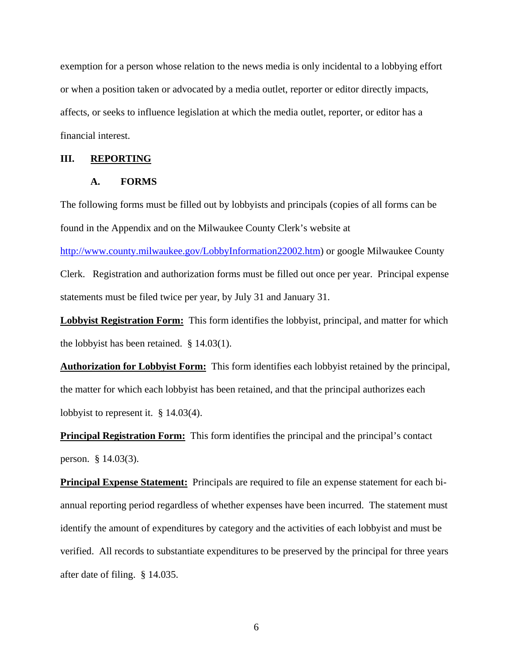exemption for a person whose relation to the news media is only incidental to a lobbying effort or when a position taken or advocated by a media outlet, reporter or editor directly impacts, affects, or seeks to influence legislation at which the media outlet, reporter, or editor has a financial interest.

#### **III. REPORTING**

### **A. FORMS**

The following forms must be filled out by lobbyists and principals (copies of all forms can be found in the Appendix and on the Milwaukee County Clerk's website at

[http://www.county.milwaukee.gov/LobbyInformation22002.htm\)](http://www.county.milwaukee.gov/LobbyInformation22002.htm) or google Milwaukee County

Clerk. Registration and authorization forms must be filled out once per year. Principal expense statements must be filed twice per year, by July 31 and January 31.

**Lobbyist Registration Form:** This form identifies the lobbyist, principal, and matter for which the lobbyist has been retained. § 14.03(1).

**Authorization for Lobbyist Form:** This form identifies each lobbyist retained by the principal, the matter for which each lobbyist has been retained, and that the principal authorizes each lobbyist to represent it. § 14.03(4).

**Principal Registration Form:** This form identifies the principal and the principal's contact person. § 14.03(3).

**Principal Expense Statement:** Principals are required to file an expense statement for each biannual reporting period regardless of whether expenses have been incurred. The statement must identify the amount of expenditures by category and the activities of each lobbyist and must be verified. All records to substantiate expenditures to be preserved by the principal for three years after date of filing. § 14.035.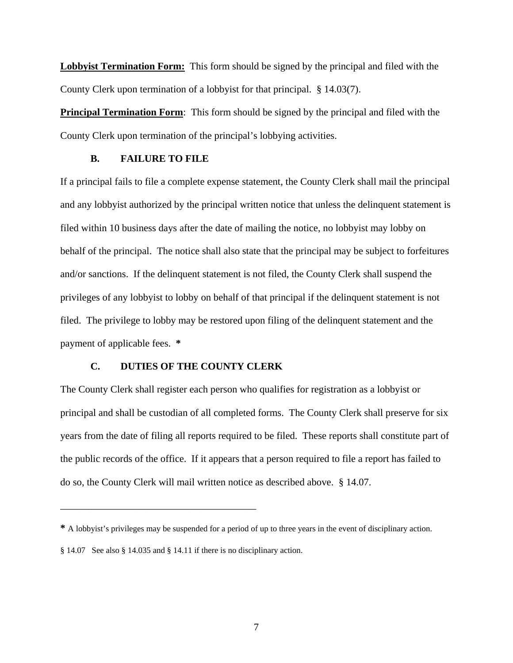**Lobbyist Termination Form:** This form should be signed by the principal and filed with the County Clerk upon termination of a lobbyist for that principal. § 14.03(7).

**Principal Termination Form**: This form should be signed by the principal and filed with the County Clerk upon termination of the principal's lobbying activities.

### **B. FAILURE TO FILE**

If a principal fails to file a complete expense statement, the County Clerk shall mail the principal and any lobbyist authorized by the principal written notice that unless the delinquent statement is filed within 10 business days after the date of mailing the notice, no lobbyist may lobby on behalf of the principal. The notice shall also state that the principal may be subject to forfeitures and/or sanctions. If the delinquent statement is not filed, the County Clerk shall suspend the privileges of any lobbyist to lobby on behalf of that principal if the delinquent statement is not filed. The privilege to lobby may be restored upon filing of the delinquent statement and the payment of applicable fees. **\*** 

### **C. DUTIES OF THE COUNTY CLERK**

The County Clerk shall register each person who qualifies for registration as a lobbyist or principal and shall be custodian of all completed forms. The County Clerk shall preserve for six years from the date of filing all reports required to be filed. These reports shall constitute part of the public records of the office. If it appears that a person required to file a report has failed to do so, the County Clerk will mail written notice as described above. § 14.07.

\_\_\_\_\_\_\_\_\_\_\_\_\_\_\_\_\_\_\_\_\_\_\_\_\_\_\_\_\_\_\_\_\_\_\_\_\_\_\_

**<sup>\*</sup>** A lobbyist's privileges may be suspended for a period of up to three years in the event of disciplinary action.

<sup>§ 14.07</sup> See also § 14.035 and § 14.11 if there is no disciplinary action.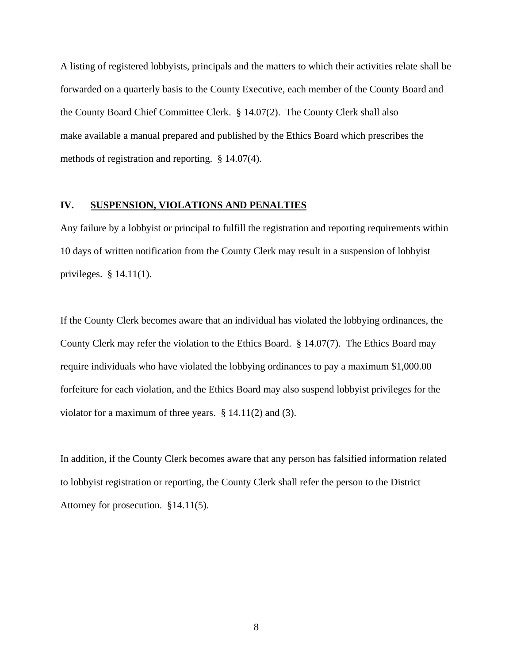A listing of registered lobbyists, principals and the matters to which their activities relate shall be forwarded on a quarterly basis to the County Executive, each member of the County Board and the County Board Chief Committee Clerk. § 14.07(2). The County Clerk shall also make available a manual prepared and published by the Ethics Board which prescribes the methods of registration and reporting. § 14.07(4).

### **IV. SUSPENSION, VIOLATIONS AND PENALTIES**

Any failure by a lobbyist or principal to fulfill the registration and reporting requirements within 10 days of written notification from the County Clerk may result in a suspension of lobbyist privileges. § 14.11(1).

If the County Clerk becomes aware that an individual has violated the lobbying ordinances, the County Clerk may refer the violation to the Ethics Board. § 14.07(7). The Ethics Board may require individuals who have violated the lobbying ordinances to pay a maximum \$1,000.00 forfeiture for each violation, and the Ethics Board may also suspend lobbyist privileges for the violator for a maximum of three years. § 14.11(2) and (3).

In addition, if the County Clerk becomes aware that any person has falsified information related to lobbyist registration or reporting, the County Clerk shall refer the person to the District Attorney for prosecution. §14.11(5).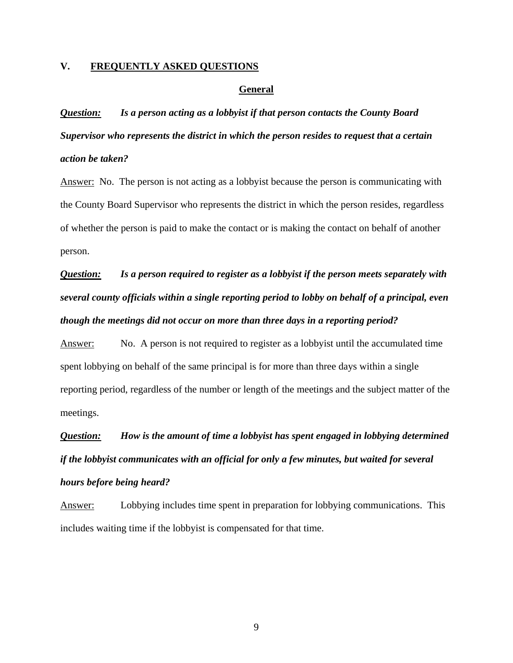### **V. FREQUENTLY ASKED QUESTIONS**

#### **General**

*Question: Is a person acting as a lobbyist if that person contacts the County Board Supervisor who represents the district in which the person resides to request that a certain action be taken?* 

Answer: No. The person is not acting as a lobbyist because the person is communicating with the County Board Supervisor who represents the district in which the person resides, regardless of whether the person is paid to make the contact or is making the contact on behalf of another person.

*Question: Is a person required to register as a lobbyist if the person meets separately with several county officials within a single reporting period to lobby on behalf of a principal, even though the meetings did not occur on more than three days in a reporting period?* 

Answer: No. A person is not required to register as a lobbyist until the accumulated time spent lobbying on behalf of the same principal is for more than three days within a single reporting period, regardless of the number or length of the meetings and the subject matter of the meetings.

*Question: How is the amount of time a lobbyist has spent engaged in lobbying determined if the lobbyist communicates with an official for only a few minutes, but waited for several hours before being heard?* 

Answer: Lobbying includes time spent in preparation for lobbying communications. This includes waiting time if the lobbyist is compensated for that time.

9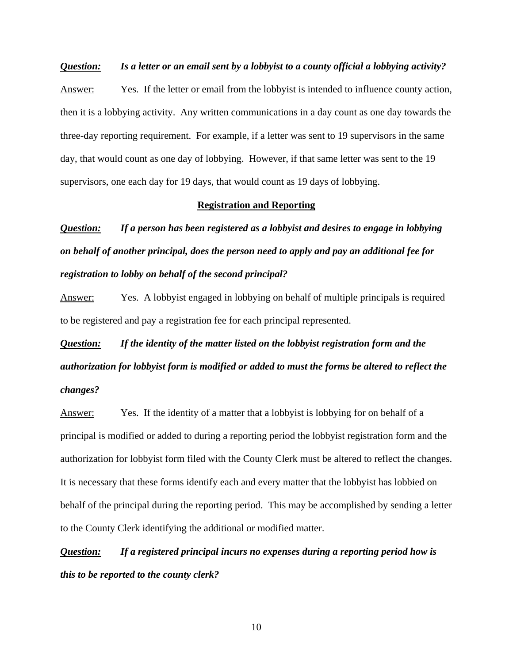### *Question: Is a letter or an email sent by a lobbyist to a county official a lobbying activity?*

Answer: Yes. If the letter or email from the lobbyist is intended to influence county action, then it is a lobbying activity. Any written communications in a day count as one day towards the three-day reporting requirement. For example, if a letter was sent to 19 supervisors in the same day, that would count as one day of lobbying. However, if that same letter was sent to the 19 supervisors, one each day for 19 days, that would count as 19 days of lobbying.

#### **Registration and Reporting**

*Question: If a person has been registered as a lobbyist and desires to engage in lobbying on behalf of another principal, does the person need to apply and pay an additional fee for registration to lobby on behalf of the second principal?* 

Answer: Yes. A lobbyist engaged in lobbying on behalf of multiple principals is required to be registered and pay a registration fee for each principal represented.

*Question: If the identity of the matter listed on the lobbyist registration form and the authorization for lobbyist form is modified or added to must the forms be altered to reflect the changes?* 

Answer: Yes. If the identity of a matter that a lobbyist is lobbying for on behalf of a principal is modified or added to during a reporting period the lobbyist registration form and the authorization for lobbyist form filed with the County Clerk must be altered to reflect the changes. It is necessary that these forms identify each and every matter that the lobbyist has lobbied on behalf of the principal during the reporting period. This may be accomplished by sending a letter to the County Clerk identifying the additional or modified matter.

*Question: If a registered principal incurs no expenses during a reporting period how is this to be reported to the county clerk?* 

10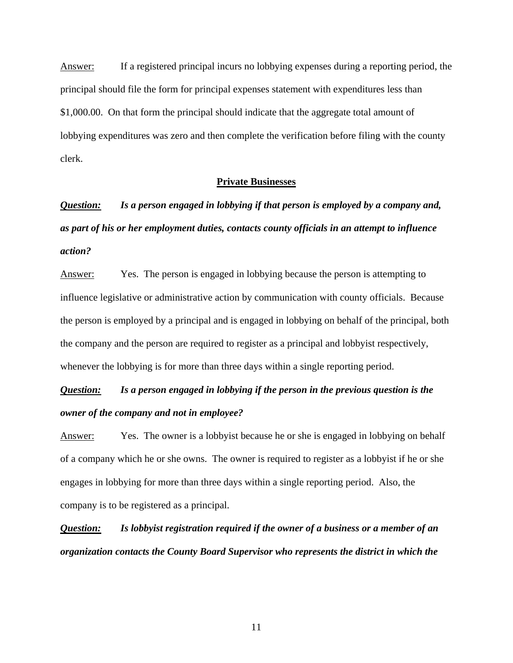Answer: If a registered principal incurs no lobbying expenses during a reporting period, the principal should file the form for principal expenses statement with expenditures less than \$1,000.00. On that form the principal should indicate that the aggregate total amount of lobbying expenditures was zero and then complete the verification before filing with the county clerk.

### **Private Businesses**

*Question: Is a person engaged in lobbying if that person is employed by a company and, as part of his or her employment duties, contacts county officials in an attempt to influence action?* 

Answer: Yes. The person is engaged in lobbying because the person is attempting to influence legislative or administrative action by communication with county officials. Because the person is employed by a principal and is engaged in lobbying on behalf of the principal, both the company and the person are required to register as a principal and lobbyist respectively, whenever the lobbying is for more than three days within a single reporting period.

### *Question: Is a person engaged in lobbying if the person in the previous question is the owner of the company and not in employee?*

Answer: Yes. The owner is a lobbyist because he or she is engaged in lobbying on behalf of a company which he or she owns. The owner is required to register as a lobbyist if he or she engages in lobbying for more than three days within a single reporting period. Also, the company is to be registered as a principal.

*Question: Is lobbyist registration required if the owner of a business or a member of an organization contacts the County Board Supervisor who represents the district in which the* 

11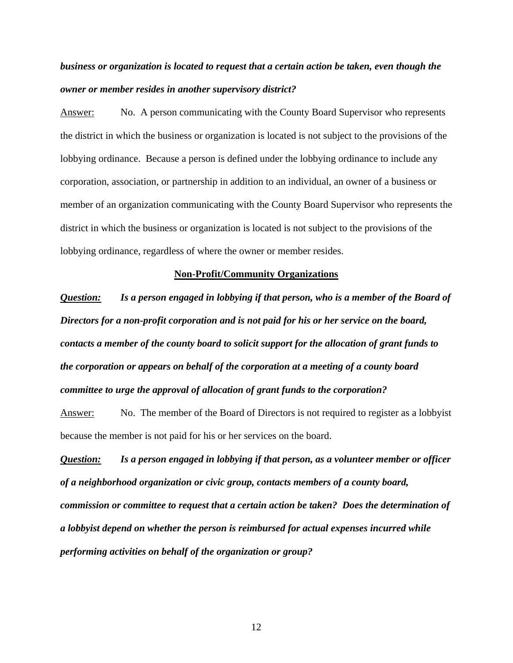### *business or organization is located to request that a certain action be taken, even though the owner or member resides in another supervisory district?*

Answer: No. A person communicating with the County Board Supervisor who represents the district in which the business or organization is located is not subject to the provisions of the lobbying ordinance. Because a person is defined under the lobbying ordinance to include any corporation, association, or partnership in addition to an individual, an owner of a business or member of an organization communicating with the County Board Supervisor who represents the district in which the business or organization is located is not subject to the provisions of the lobbying ordinance, regardless of where the owner or member resides.

### **Non-Profit/Community Organizations**

*Question: Is a person engaged in lobbying if that person, who is a member of the Board of Directors for a non-profit corporation and is not paid for his or her service on the board, contacts a member of the county board to solicit support for the allocation of grant funds to the corporation or appears on behalf of the corporation at a meeting of a county board committee to urge the approval of allocation of grant funds to the corporation?* 

Answer: No. The member of the Board of Directors is not required to register as a lobbyist because the member is not paid for his or her services on the board.

*Question: Is a person engaged in lobbying if that person, as a volunteer member or officer of a neighborhood organization or civic group, contacts members of a county board, commission or committee to request that a certain action be taken? Does the determination of a lobbyist depend on whether the person is reimbursed for actual expenses incurred while performing activities on behalf of the organization or group?*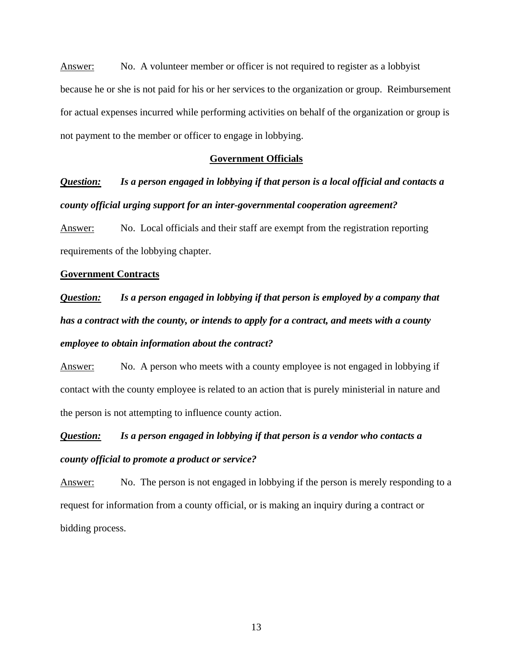Answer: No. A volunteer member or officer is not required to register as a lobbyist because he or she is not paid for his or her services to the organization or group. Reimbursement for actual expenses incurred while performing activities on behalf of the organization or group is not payment to the member or officer to engage in lobbying.

#### **Government Officials**

*Question: Is a person engaged in lobbying if that person is a local official and contacts a county official urging support for an inter-governmental cooperation agreement?* 

Answer: No. Local officials and their staff are exempt from the registration reporting requirements of the lobbying chapter.

#### **Government Contracts**

*Question: Is a person engaged in lobbying if that person is employed by a company that*  has a contract with the county, or intends to apply for a contract, and meets with a county *employee to obtain information about the contract?* 

Answer: No. A person who meets with a county employee is not engaged in lobbying if contact with the county employee is related to an action that is purely ministerial in nature and the person is not attempting to influence county action.

### *Question: Is a person engaged in lobbying if that person is a vendor who contacts a county official to promote a product or service?*

Answer: No. The person is not engaged in lobbying if the person is merely responding to a request for information from a county official, or is making an inquiry during a contract or bidding process.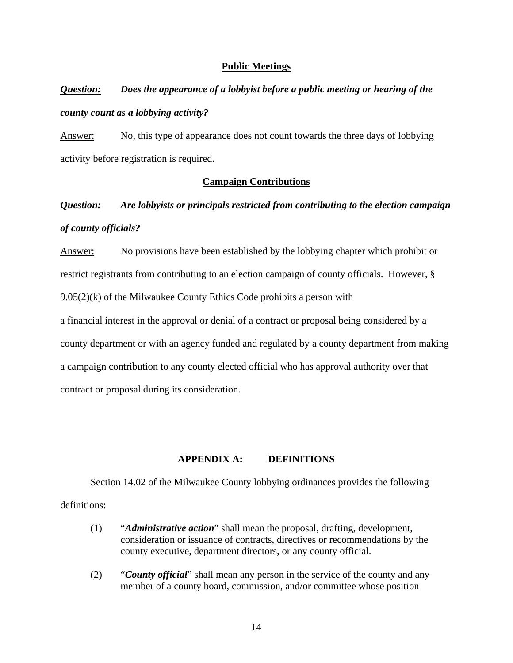### **Public Meetings**

## *Question: Does the appearance of a lobbyist before a public meeting or hearing of the county count as a lobbying activity?*

Answer: No, this type of appearance does not count towards the three days of lobbying activity before registration is required.

### **Campaign Contributions**

### *Question: Are lobbyists or principals restricted from contributing to the election campaign of county officials?*

Answer: No provisions have been established by the lobbying chapter which prohibit or restrict registrants from contributing to an election campaign of county officials. However, §  $9.05(2)(k)$  of the Milwaukee County Ethics Code prohibits a person with

a financial interest in the approval or denial of a contract or proposal being considered by a county department or with an agency funded and regulated by a county department from making a campaign contribution to any county elected official who has approval authority over that contract or proposal during its consideration.

### **APPENDIX A: DEFINITIONS**

Section 14.02 of the Milwaukee County lobbying ordinances provides the following definitions:

- (1) "*Administrative action*" shall mean the proposal, drafting, development, consideration or issuance of contracts, directives or recommendations by the county executive, department directors, or any county official.
- (2) "*County official*" shall mean any person in the service of the county and any member of a county board, commission, and/or committee whose position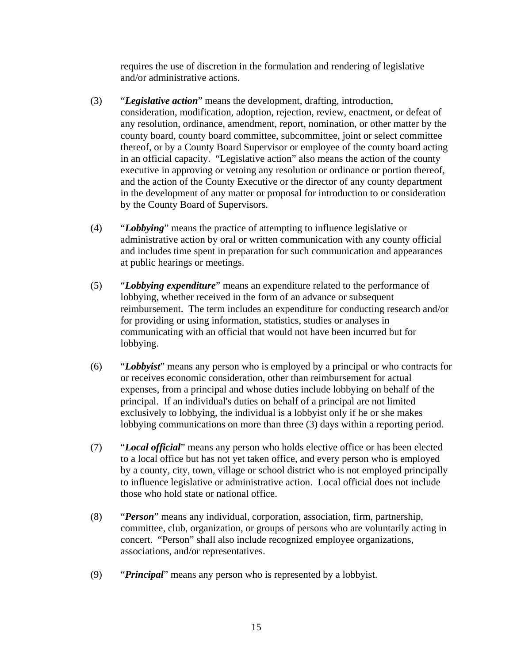requires the use of discretion in the formulation and rendering of legislative and/or administrative actions.

- (3) "*Legislative action*" means the development, drafting, introduction, consideration, modification, adoption, rejection, review, enactment, or defeat of any resolution, ordinance, amendment, report, nomination, or other matter by the county board, county board committee, subcommittee, joint or select committee thereof, or by a County Board Supervisor or employee of the county board acting in an official capacity. "Legislative action" also means the action of the county executive in approving or vetoing any resolution or ordinance or portion thereof, and the action of the County Executive or the director of any county department in the development of any matter or proposal for introduction to or consideration by the County Board of Supervisors.
- (4) "*Lobbying*" means the practice of attempting to influence legislative or administrative action by oral or written communication with any county official and includes time spent in preparation for such communication and appearances at public hearings or meetings.
- (5) "*Lobbying expenditure*" means an expenditure related to the performance of lobbying, whether received in the form of an advance or subsequent reimbursement. The term includes an expenditure for conducting research and/or for providing or using information, statistics, studies or analyses in communicating with an official that would not have been incurred but for lobbying.
- (6) "*Lobbyist*" means any person who is employed by a principal or who contracts for or receives economic consideration, other than reimbursement for actual expenses, from a principal and whose duties include lobbying on behalf of the principal. If an individual's duties on behalf of a principal are not limited exclusively to lobbying, the individual is a lobbyist only if he or she makes lobbying communications on more than three (3) days within a reporting period.
- (7) "*Local official*" means any person who holds elective office or has been elected to a local office but has not yet taken office, and every person who is employed by a county, city, town, village or school district who is not employed principally to influence legislative or administrative action. Local official does not include those who hold state or national office.
- (8) "*Person*" means any individual, corporation, association, firm, partnership, committee, club, organization, or groups of persons who are voluntarily acting in concert. "Person" shall also include recognized employee organizations, associations, and/or representatives.
- (9) "*Principal*" means any person who is represented by a lobbyist.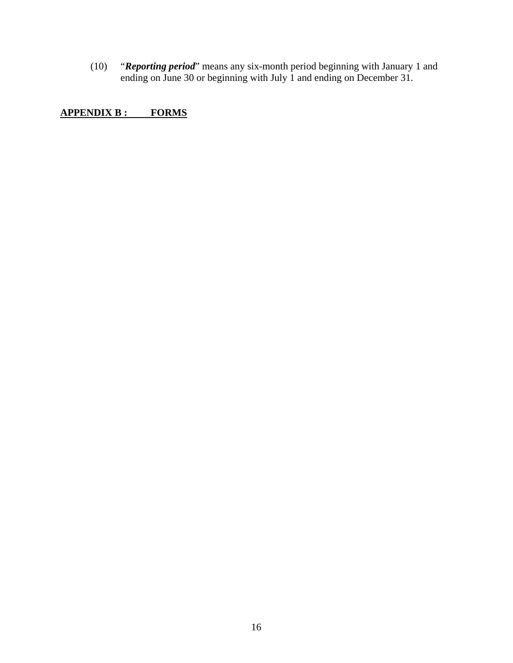(10) "*Reporting period*" means any six-month period beginning with January 1 and ending on June 30 or beginning with July 1 and ending on December 31.

**APPENDIX B : FORMS**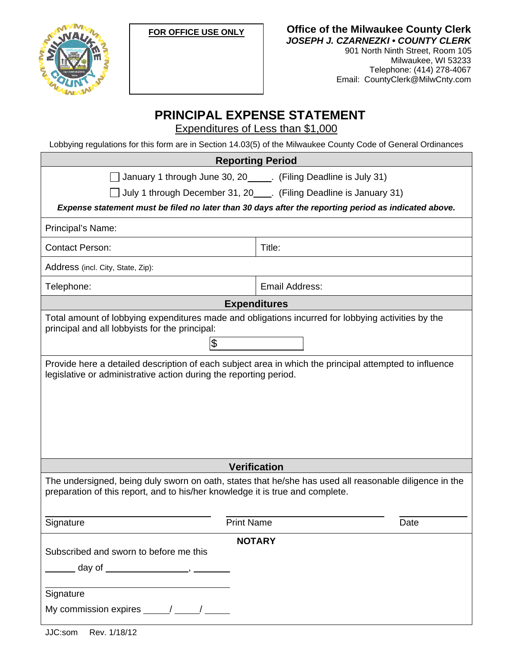



**Office of the Milwaukee County Clerk**  *JOSEPH J. CZARNEZKI • COUNTY CLERK* 

901 North Ninth Street, Room 105 Milwaukee, WI 53233 Telephone: (414) 278-4067 Email: CountyClerk@MilwCnty.com

### **PRINCIPAL EXPENSE STATEMENT**

Expenditures of Less than \$1,000

Lobbying regulations for this form are in Section 14.03(5) of the Milwaukee County Code of General Ordinances

| <b>Reporting Period</b> |  |
|-------------------------|--|
|                         |  |

January 1 through June 30, 20  $\quad$ . (Filing Deadline is July 31)

 $\Box$  July 1 through December 31, 20  $\Box$ . (Filing Deadline is January 31)

*Expense statement must be filed no later than 30 days after the reporting period as indicated above.* 

Principal's Name:

Contact Person: Title: 1998

Address (incl. City, State, Zip):

Telephone: and the state of the state of the Email Address:

**Expenditures** 

Total amount of lobbying expenditures made and obligations incurred for lobbying activities by the principal and all lobbyists for the principal:

\$

Provide here a detailed description of each subject area in which the principal attempted to influence legislative or administrative action during the reporting period.

**Verification** 

The undersigned, being duly sworn on oath, states that he/she has used all reasonable diligence in the preparation of this report, and to his/her knowledge it is true and complete.

| Signature                                                               | <b>Print Name</b> | Date |
|-------------------------------------------------------------------------|-------------------|------|
| Subscribed and sworn to before me this<br>day of $\qquad \qquad \qquad$ | <b>NOTARY</b>     |      |
| Signature<br>My commission expires $\frac{1}{\sqrt{1-\frac{1}{2}}}$     |                   |      |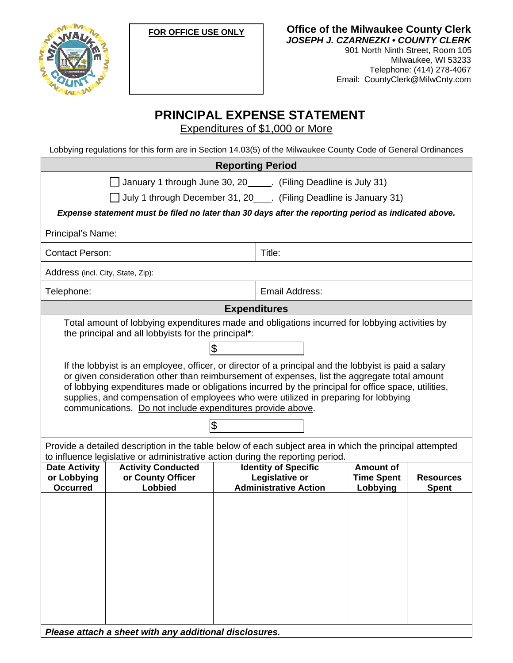



**Office of the Milwaukee County Clerk**  *JOSEPH J. CZARNEZKI • COUNTY CLERK*  901 North Ninth Street, Room 105

Milwaukee, WI 53233 Telephone: (414) 278-4067 Email: CountyClerk@MilwCnty.com

### **PRINCIPAL EXPENSE STATEMENT**

Expenditures of \$1,000 or More

Lobbying regulations for this form are in Section 14.03(5) of the Milwaukee County Code of General Ordinances

| <b>Reporting Period</b>                                                                                                                                                                                                                                                                                                                                                                                                                                                 |                                                                                                                             |                                  |
|-------------------------------------------------------------------------------------------------------------------------------------------------------------------------------------------------------------------------------------------------------------------------------------------------------------------------------------------------------------------------------------------------------------------------------------------------------------------------|-----------------------------------------------------------------------------------------------------------------------------|----------------------------------|
| January 1 through June 30, 20_____. (Filing Deadline is July 31)                                                                                                                                                                                                                                                                                                                                                                                                        |                                                                                                                             |                                  |
| July 1 through December 31, 20____. (Filing Deadline is January 31)                                                                                                                                                                                                                                                                                                                                                                                                     |                                                                                                                             |                                  |
| Expense statement must be filed no later than 30 days after the reporting period as indicated above.                                                                                                                                                                                                                                                                                                                                                                    |                                                                                                                             |                                  |
| Principal's Name:                                                                                                                                                                                                                                                                                                                                                                                                                                                       |                                                                                                                             |                                  |
| <b>Contact Person:</b>                                                                                                                                                                                                                                                                                                                                                                                                                                                  | Title:                                                                                                                      |                                  |
| Address (incl. City, State, Zip):                                                                                                                                                                                                                                                                                                                                                                                                                                       |                                                                                                                             |                                  |
| Telephone:                                                                                                                                                                                                                                                                                                                                                                                                                                                              | Email Address:                                                                                                              |                                  |
| <b>Expenditures</b>                                                                                                                                                                                                                                                                                                                                                                                                                                                     |                                                                                                                             |                                  |
| Total amount of lobbying expenditures made and obligations incurred for lobbying activities by<br>the principal and all lobbyists for the principal*:                                                                                                                                                                                                                                                                                                                   |                                                                                                                             |                                  |
| \$                                                                                                                                                                                                                                                                                                                                                                                                                                                                      |                                                                                                                             |                                  |
| If the lobbyist is an employee, officer, or director of a principal and the lobbyist is paid a salary<br>or given consideration other than reimbursement of expenses, list the aggregate total amount<br>of lobbying expenditures made or obligations incurred by the principal for office space, utilities,<br>supplies, and compensation of employees who were utilized in preparing for lobbying<br>communications. Do not include expenditures provide above.<br>\$ |                                                                                                                             |                                  |
| Provide a detailed description in the table below of each subject area in which the principal attempted<br>to influence legislative or administrative action during the reporting period.                                                                                                                                                                                                                                                                               |                                                                                                                             |                                  |
| <b>Activity Conducted</b><br><b>Date Activity</b><br>or County Officer<br>or Lobbying<br>Lobbied<br><b>Occurred</b>                                                                                                                                                                                                                                                                                                                                                     | <b>Identity of Specific</b><br>Amount of<br>Legislative or<br><b>Time Spent</b><br><b>Administrative Action</b><br>Lobbying | <b>Resources</b><br><b>Spent</b> |
| Please attach a sheet with any additional disclosures.                                                                                                                                                                                                                                                                                                                                                                                                                  |                                                                                                                             |                                  |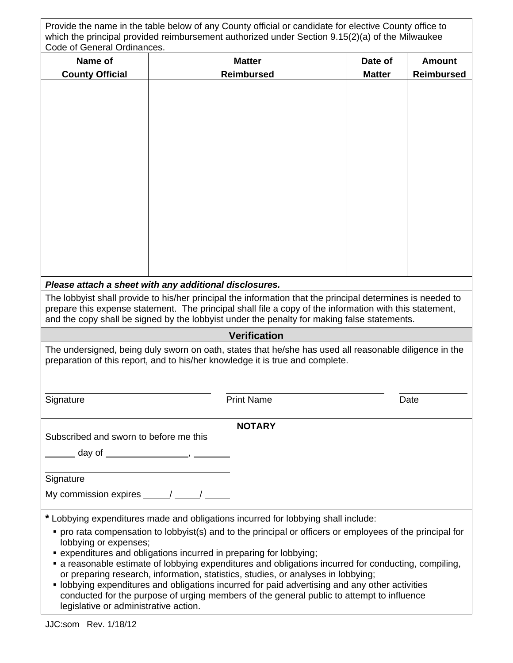| Provide the name in the table below of any County official or candidate for elective County office to |
|-------------------------------------------------------------------------------------------------------|
| which the principal provided reimbursement authorized under Section 9.15(2)(a) of the Milwaukee       |
| Code of General Ordinances.                                                                           |

| Code of General Ordinances.                                                                                                                                                             |                                                                                                                                                                                                                                                                                                                                                                                                                                                                                                                                                                           |               |                   |
|-----------------------------------------------------------------------------------------------------------------------------------------------------------------------------------------|---------------------------------------------------------------------------------------------------------------------------------------------------------------------------------------------------------------------------------------------------------------------------------------------------------------------------------------------------------------------------------------------------------------------------------------------------------------------------------------------------------------------------------------------------------------------------|---------------|-------------------|
| Name of                                                                                                                                                                                 | <b>Matter</b>                                                                                                                                                                                                                                                                                                                                                                                                                                                                                                                                                             | Date of       | <b>Amount</b>     |
| <b>County Official</b>                                                                                                                                                                  | <b>Reimbursed</b>                                                                                                                                                                                                                                                                                                                                                                                                                                                                                                                                                         | <b>Matter</b> | <b>Reimbursed</b> |
|                                                                                                                                                                                         |                                                                                                                                                                                                                                                                                                                                                                                                                                                                                                                                                                           |               |                   |
|                                                                                                                                                                                         |                                                                                                                                                                                                                                                                                                                                                                                                                                                                                                                                                                           |               |                   |
|                                                                                                                                                                                         | Please attach a sheet with any additional disclosures.                                                                                                                                                                                                                                                                                                                                                                                                                                                                                                                    |               |                   |
|                                                                                                                                                                                         | The lobbyist shall provide to his/her principal the information that the principal determines is needed to<br>prepare this expense statement. The principal shall file a copy of the information with this statement,<br>and the copy shall be signed by the lobbyist under the penalty for making false statements.                                                                                                                                                                                                                                                      |               |                   |
|                                                                                                                                                                                         | <b>Verification</b>                                                                                                                                                                                                                                                                                                                                                                                                                                                                                                                                                       |               |                   |
| The undersigned, being duly sworn on oath, states that he/she has used all reasonable diligence in the<br>preparation of this report, and to his/her knowledge it is true and complete. |                                                                                                                                                                                                                                                                                                                                                                                                                                                                                                                                                                           |               |                   |
| Signature                                                                                                                                                                               | <b>Print Name</b>                                                                                                                                                                                                                                                                                                                                                                                                                                                                                                                                                         |               | Date              |
|                                                                                                                                                                                         | <b>NOTARY</b>                                                                                                                                                                                                                                                                                                                                                                                                                                                                                                                                                             |               |                   |
| Subscribed and sworn to before me this<br>_____ day of __________________, _______<br>Signature<br>My commission expires $\frac{\gamma}{\gamma}$ / $\frac{\gamma}{\gamma}$              |                                                                                                                                                                                                                                                                                                                                                                                                                                                                                                                                                                           |               |                   |
| * Lobbying expenditures made and obligations incurred for lobbying shall include:                                                                                                       |                                                                                                                                                                                                                                                                                                                                                                                                                                                                                                                                                                           |               |                   |
| lobbying or expenses;<br>legislative or administrative action.                                                                                                                          | • pro rata compensation to lobbyist(s) and to the principal or officers or employees of the principal for<br>• expenditures and obligations incurred in preparing for lobbying;<br>a reasonable estimate of lobbying expenditures and obligations incurred for conducting, compiling,<br>or preparing research, information, statistics, studies, or analyses in lobbying;<br>• lobbying expenditures and obligations incurred for paid advertising and any other activities<br>conducted for the purpose of urging members of the general public to attempt to influence |               |                   |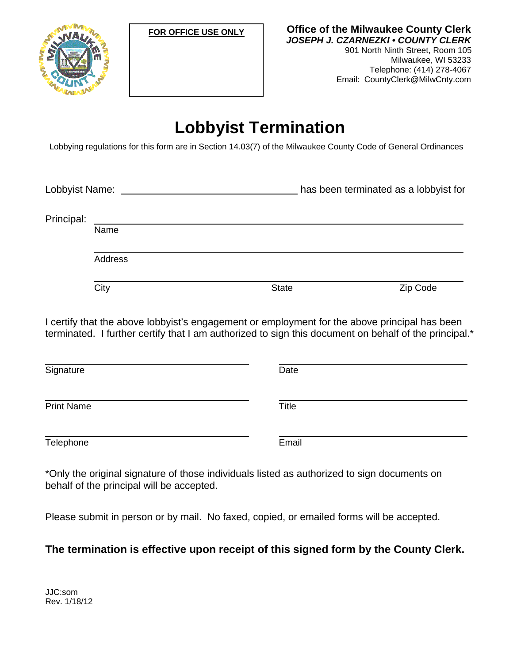



**Office of the Milwaukee County Clerk**  *JOSEPH J. CZARNEZKI • COUNTY CLERK*  901 North Ninth Street, Room 105 Milwaukee, WI 53233 Telephone: (414) 278-4067 Email: CountyClerk@MilwCnty.com

## **Lobbyist Termination**

Lobbying regulations for this form are in Section 14.03(7) of the Milwaukee County Code of General Ordinances

Lobbyist Name: has been terminated as a lobbyist for

Principal:

Address

Name

City City Code State State City Code

I certify that the above lobbyist's engagement or employment for the above principal has been terminated. I further certify that I am authorized to sign this document on behalf of the principal.\*

| Signature         | Date         |  |
|-------------------|--------------|--|
| <b>Print Name</b> | <b>Title</b> |  |
| Telephone         | Email        |  |

\*Only the original signature of those individuals listed as authorized to sign documents on behalf of the principal will be accepted.

Please submit in person or by mail. No faxed, copied, or emailed forms will be accepted.

### **The termination is effective upon receipt of this signed form by the County Clerk.**

JJC:som Rev. 1/18/12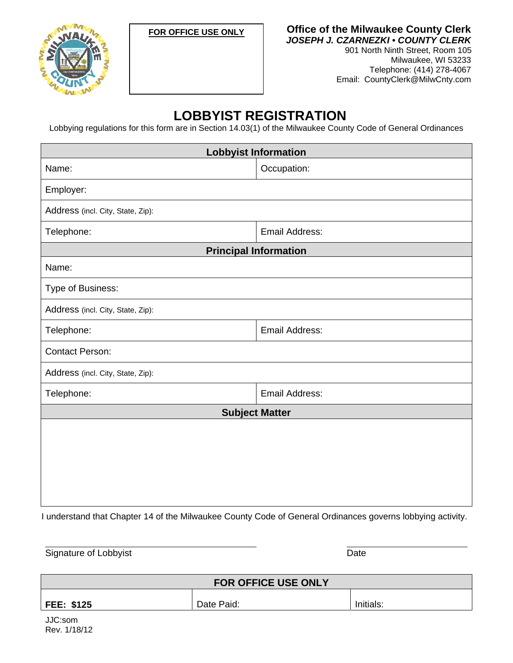



**Office of the Milwaukee County Clerk**  *JOSEPH J. CZARNEZKI • COUNTY CLERK* 

901 North Ninth Street, Room 105 Milwaukee, WI 53233 Telephone: (414) 278-4067 Email: CountyClerk@MilwCnty.com

### **LOBBYIST REGISTRATION**

Lobbying regulations for this form are in Section 14.03(1) of the Milwaukee County Code of General Ordinances

| <b>Lobbyist Information</b>       |                              |  |
|-----------------------------------|------------------------------|--|
| Name:                             | Occupation:                  |  |
| Employer:                         |                              |  |
| Address (incl. City, State, Zip): |                              |  |
| Telephone:                        | <b>Email Address:</b>        |  |
|                                   | <b>Principal Information</b> |  |
| Name:                             |                              |  |
| Type of Business:                 |                              |  |
| Address (incl. City, State, Zip): |                              |  |
| Telephone:                        | <b>Email Address:</b>        |  |
| <b>Contact Person:</b>            |                              |  |
| Address (incl. City, State, Zip): |                              |  |
| Telephone:                        | <b>Email Address:</b>        |  |
| <b>Subject Matter</b>             |                              |  |
|                                   |                              |  |
|                                   |                              |  |
|                                   |                              |  |
|                                   |                              |  |
|                                   |                              |  |

I understand that Chapter 14 of the Milwaukee County Code of General Ordinances governs lobbying activity.

Signature of Lobbyist **Date** 

| <b>FOR OFFICE USE ONLY</b> |            |           |
|----------------------------|------------|-----------|
| <b>FEE: \$125</b>          | Date Paid: | Initials: |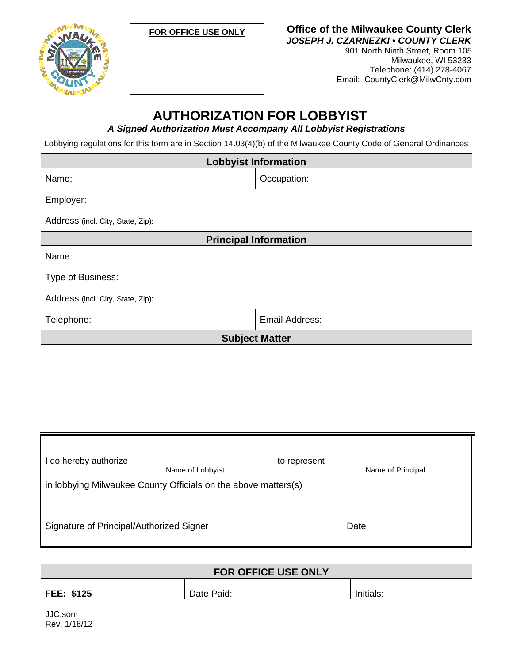**FOR OFFICE USE ONLY**



**Office of the Milwaukee County Clerk**  *JOSEPH J. CZARNEZKI • COUNTY CLERK* 

901 North Ninth Street, Room 105 Milwaukee, WI 53233 Telephone: (414) 278-4067 Email: CountyClerk@MilwCnty.com

## **AUTHORIZATION FOR LOBBYIST**

*A Signed Authorization Must Accompany All Lobbyist Registrations* 

Lobbying regulations for this form are in Section 14.03(4)(b) of the Milwaukee County Code of General Ordinances

| <b>Lobbyist Information</b>                                    |                                   |  |
|----------------------------------------------------------------|-----------------------------------|--|
| Name:                                                          | Occupation:                       |  |
| Employer:                                                      |                                   |  |
| Address (incl. City, State, Zip):                              |                                   |  |
|                                                                | <b>Principal Information</b>      |  |
| Name:                                                          |                                   |  |
| Type of Business:                                              |                                   |  |
| Address (incl. City, State, Zip):                              |                                   |  |
| Telephone:                                                     | Email Address:                    |  |
|                                                                | <b>Subject Matter</b>             |  |
|                                                                |                                   |  |
|                                                                |                                   |  |
|                                                                |                                   |  |
|                                                                |                                   |  |
|                                                                |                                   |  |
| I do hereby authorize _<br>Name of Lobbyist                    | to represent<br>Name of Principal |  |
| in lobbying Milwaukee County Officials on the above matters(s) |                                   |  |
| Signature of Principal/Authorized Signer                       | Date                              |  |

| <b>FOR OFFICE USE ONLY</b> |            |           |  |
|----------------------------|------------|-----------|--|
| <b>FEE: \$125</b>          | Date Paid: | Initials: |  |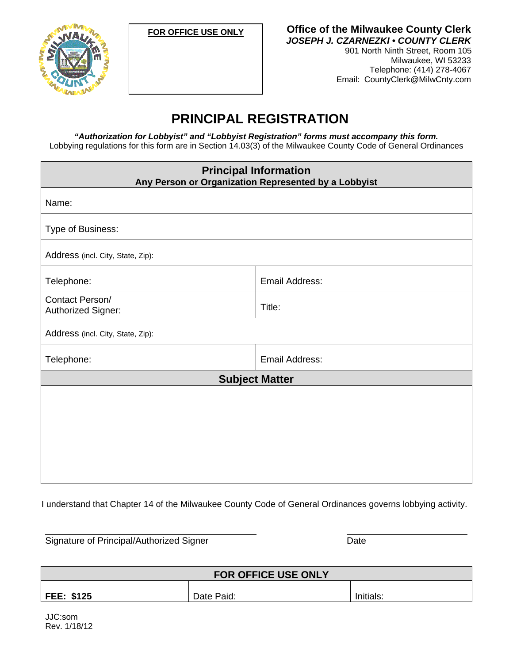

**FOR OFFICE USE ONLY Office of the Milwaukee County Clerk**  *JOSEPH J. CZARNEZKI • COUNTY CLERK*  901 North Ninth Street, Room 105

Milwaukee, WI 53233 Telephone: (414) 278-4067 Email: CountyClerk@MilwCnty.com

### **PRINCIPAL REGISTRATION**

*"Authorization for Lobbyist" and "Lobbyist Registration" forms must accompany this form.*  Lobbying regulations for this form are in Section 14.03(3) of the Milwaukee County Code of General Ordinances

| <b>Principal Information</b><br>Any Person or Organization Represented by a Lobbyist |                       |
|--------------------------------------------------------------------------------------|-----------------------|
|                                                                                      |                       |
| Name:                                                                                |                       |
| Type of Business:                                                                    |                       |
| Address (incl. City, State, Zip):                                                    |                       |
| Telephone:                                                                           | Email Address:        |
| Contact Person/<br>Authorized Signer:                                                | Title:                |
| Address (incl. City, State, Zip):                                                    |                       |
| Telephone:                                                                           | Email Address:        |
|                                                                                      | <b>Subject Matter</b> |
|                                                                                      |                       |
|                                                                                      |                       |
|                                                                                      |                       |
|                                                                                      |                       |
|                                                                                      |                       |
|                                                                                      |                       |

I understand that Chapter 14 of the Milwaukee County Code of General Ordinances governs lobbying activity.

Signature of Principal/Authorized Signer Date

| <b>FOR OFFICE USE ONLY</b>                   |  |  |  |  |
|----------------------------------------------|--|--|--|--|
| <b>FEE: \$125</b><br>Initials:<br>Date Paid: |  |  |  |  |